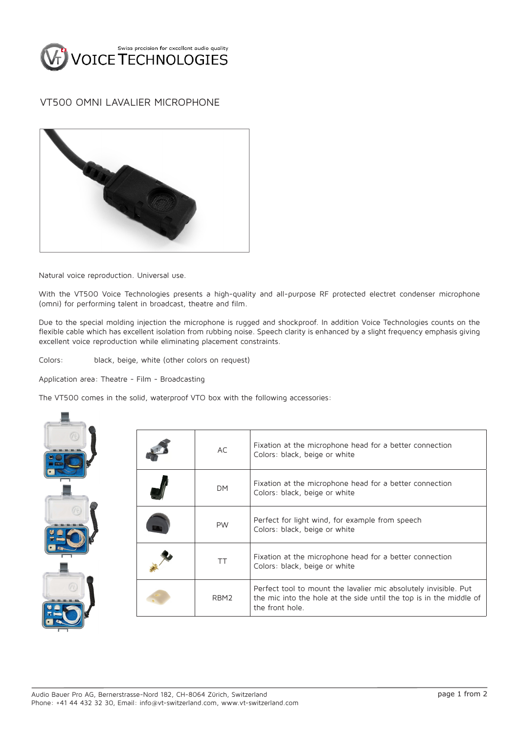

## VT500 OMNI LAVALIER MICROPHONE



Natural voice reproduction. Universal use.

With the VT500 Voice Technologies presents a high-quality and all-purpose RF protected electret condenser microphone (omni) for performing talent in broadcast, theatre and film.

Due to the special molding injection the microphone is rugged and shockproof. In addition Voice Technologies counts on the flexible cable which has excellent isolation from rubbing noise. Speech clarity is enhanced by a slight frequency emphasis giving excellent voice reproduction while eliminating placement constraints.

Colors: black, beige, white (other colors on request)

Application area: Theatre - Film - Broadcasting

The VT500 comes in the solid, waterproof VTO box with the following accessories:



| AC               | Fixation at the microphone head for a better connection<br>Colors: black, beige or white                                                                   |
|------------------|------------------------------------------------------------------------------------------------------------------------------------------------------------|
| <b>DM</b>        | Fixation at the microphone head for a better connection<br>Colors: black, beige or white                                                                   |
| <b>PW</b>        | Perfect for light wind, for example from speech<br>Colors: black, beige or white                                                                           |
| ТT               | Fixation at the microphone head for a better connection<br>Colors: black, beige or white                                                                   |
| RBM <sub>2</sub> | Perfect tool to mount the lavalier mic absolutely invisible. Put<br>the mic into the hole at the side until the top is in the middle of<br>the front hole. |